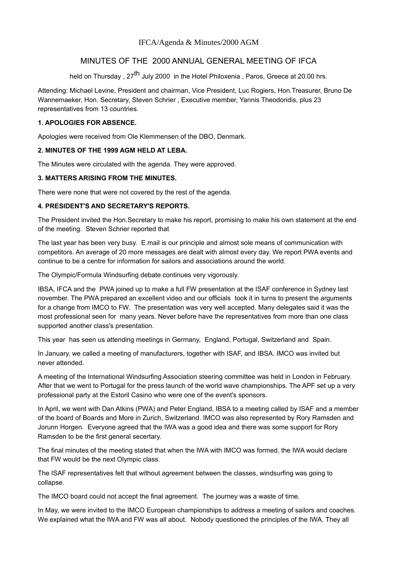# IFCA/Agenda & Minutes/2000 AGM

# MINUTES OF THE 2000 ANNUAL GENERAL MEETING OF IFCA

held on Thursday, 27<sup>th</sup> July 2000 in the Hotel Philoxenia, Paros, Greece at 20.00 hrs.

Attending: Michael Levine, President and chairman, Vice President, Luc Rogiers, Hon.Treasurer, Bruno De Wannemaeker, Hon. Secretary, Steven Schrier , Executive member, Yannis Theodoridis, plus 23 representatives from 13 countries.

# **1. APOLOGIES FOR ABSENCE.**

Apologies were received from Ole Klemmensen of the DBO, Denmark.

## **2. MINUTES OF THE 1999 AGM HELD AT LEBA.**

The Minutes were circulated with the agenda. They were approved.

## **3. MATTERS ARISING FROM THE MINUTES.**

There were none that were not covered by the rest of the agenda.

## **4. PRESIDENT'S AND SECRETARY'S REPORTS.**

The President invited the Hon.Secretary to make his report, promising to make his own statement at the end of the meeting. Steven Schrier reported that

The last year has been very busy. E.mail is our principle and almost sole means of communication with competitors. An average of 20 more messages are dealt with almost every day. We report PWA events and continue to be a centre for information for sailors and associations around the world.

The Olympic/Formula Windsurfing debate continues very vigorously.

IBSA, IFCA and the PWA joined up to make a full FW presentation at the ISAF conference in Sydney last november. The PWA prepared an excellent video and our officials took it in turns to present the arguments for a change from IMCO to FW. The presentation was very well accepted. Many delegates said it was the most professional seen for many years. Never before have the representatives from more than one class supported another class's presentation.

This year has seen us attending meetings in Germany, England, Portugal, Switzerland and Spain.

In January, we called a meeting of manufacturers, together with ISAF, and IBSA. IMCO was invited but never attended.

A meeting of the International Windsurfing Association steering committee was held in London in February. After that we went to Portugal for the press launch of the world wave championships. The APF set up a very professional party at the Estoril Casino who were one of the event's sponsors.

In April, we went with Dan Atkins (PWA) and Peter England, IBSA to a meeting called by ISAF and a member of the board of Boards and More in Zurich, Switzerland. IMCO was also represented by Rory Ramsden and Jorunn Horgen. Everyone agreed that the IWA was a good idea and there was some support for Rory Ramsden to be the first general secertary.

The final minutes of the meeting stated that when the IWA with IMCO was formed, the IWA would declare that FW would be the next Olympic class.

The ISAF representatives felt that without agreement between the classes, windsurfing was going to collapse.

The IMCO board could not accept the final agreement. The journey was a waste of time.

In May, we were invited to the IMCO European championships to address a meeting of sailors and coaches. We explained what the IWA and FW was all about. Nobody questioned the principles of the IWA. They all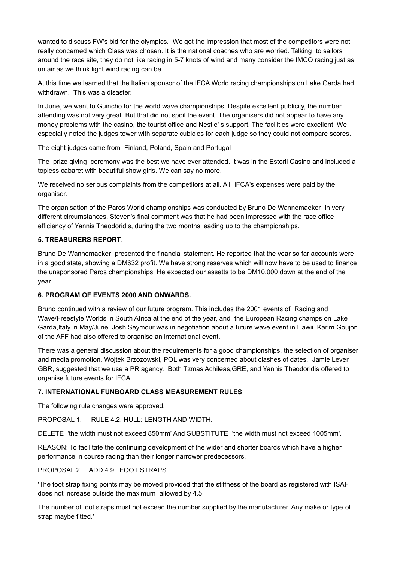wanted to discuss FW's bid for the olympics. We got the impression that most of the competitors were not really concerned which Class was chosen. It is the national coaches who are worried. Talking to sailors around the race site, they do not like racing in 5-7 knots of wind and many consider the IMCO racing just as unfair as we think light wind racing can be.

At this time we learned that the Italian sponsor of the IFCA World racing championships on Lake Garda had withdrawn. This was a disaster.

In June, we went to Guincho for the world wave championships. Despite excellent publicity, the number attending was not very great. But that did not spoil the event. The organisers did not appear to have any money problems with the casino, the tourist office and Nestle' s support. The facilities were excellent. We especially noted the judges tower with separate cubicles for each judge so they could not compare scores.

The eight judges came from Finland, Poland, Spain and Portugal

The prize giving ceremony was the best we have ever attended. It was in the Estoril Casino and included a topless cabaret with beautiful show girls. We can say no more.

We received no serious complaints from the competitors at all. All IFCA's expenses were paid by the organiser.

The organisation of the Paros World championships was conducted by Bruno De Wannemaeker in very different circumstances. Steven's final comment was that he had been impressed with the race office efficiency of Yannis Theodoridis, during the two months leading up to the championships.

# **5. TREASURERS REPORT**.

Bruno De Wannemaeker presented the financial statement. He reported that the year so far accounts were in a good state, showing a DM632 profit. We have strong reserves which will now have to be used to finance the unsponsored Paros championships. He expected our assetts to be DM10,000 down at the end of the year.

#### **6. PROGRAM OF EVENTS 2000 AND ONWARDS.**

Bruno continued with a review of our future program. This includes the 2001 events of Racing and Wave/Freestyle Worlds in South Africa at the end of the year, and the European Racing champs on Lake Garda,Italy in May/June. Josh Seymour was in negotiation about a future wave event in Hawii. Karim Goujon of the AFF had also offered to organise an international event.

There was a general discussion about the requirements for a good championships, the selection of organiser and media promotion. Wojtek Brzozowski, POL was very concerned about clashes of dates. Jamie Lever, GBR, suggested that we use a PR agency. Both Tzmas Achileas,GRE, and Yannis Theodoridis offered to organise future events for IFCA.

#### **7. INTERNATIONAL FUNBOARD CLASS MEASUREMENT RULES**

The following rule changes were approved.

PROPOSAL 1. RULE 4.2. HULL: LENGTH AND WIDTH.

DELETE 'the width must not exceed 850mm' And SUBSTITUTE 'the width must not exceed 1005mm'.

REASON: To facilitate the continuing development of the wider and shorter boards which have a higher performance in course racing than their longer narrower predecessors.

### PROPOSAL 2. ADD 4.9. FOOT STRAPS

'The foot strap fixing points may be moved provided that the stiffness of the board as registered with ISAF does not increase outside the maximum allowed by 4.5.

The number of foot straps must not exceed the number supplied by the manufacturer. Any make or type of strap maybe fitted.'